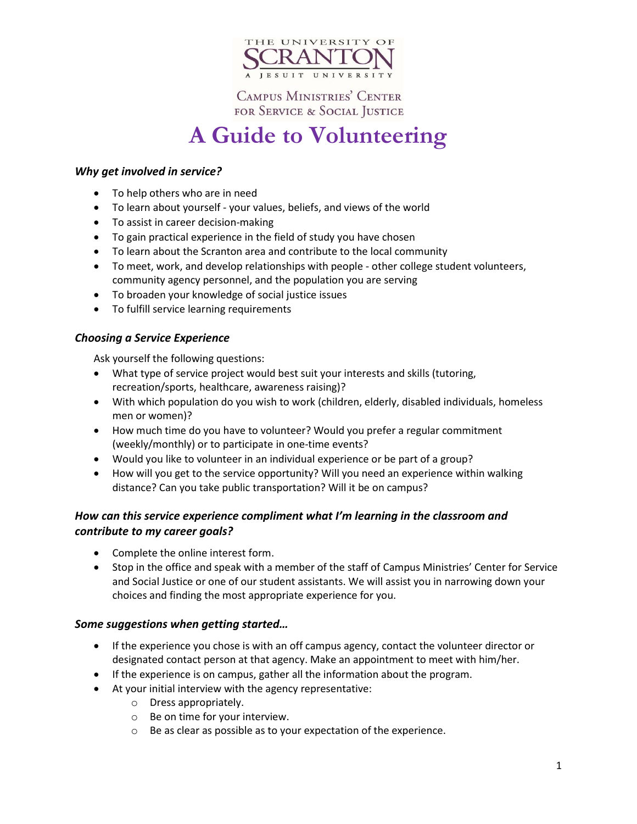

**CAMPUS MINISTRIES' CENTER** FOR SERVICE & SOCIAL JUSTICE

# **A Guide to Volunteering**

## *Why get involved in service?*

- To help others who are in need
- To learn about yourself your values, beliefs, and views of the world
- To assist in career decision-making
- To gain practical experience in the field of study you have chosen
- To learn about the Scranton area and contribute to the local community
- To meet, work, and develop relationships with people other college student volunteers, community agency personnel, and the population you are serving
- To broaden your knowledge of social justice issues
- To fulfill service learning requirements

### *Choosing a Service Experience*

Ask yourself the following questions:

- What type of service project would best suit your interests and skills (tutoring, recreation/sports, healthcare, awareness raising)?
- With which population do you wish to work (children, elderly, disabled individuals, homeless men or women)?
- How much time do you have to volunteer? Would you prefer a regular commitment (weekly/monthly) or to participate in one-time events?
- Would you like to volunteer in an individual experience or be part of a group?
- How will you get to the service opportunity? Will you need an experience within walking distance? Can you take public transportation? Will it be on campus?

## *How can this service experience compliment what I'm learning in the classroom and contribute to my career goals?*

- Complete the online interest form.
- Stop in the office and speak with a member of the staff of Campus Ministries' Center for Service and Social Justice or one of our student assistants. We will assist you in narrowing down your choices and finding the most appropriate experience for you.

### *Some suggestions when getting started…*

- If the experience you chose is with an off campus agency, contact the volunteer director or designated contact person at that agency. Make an appointment to meet with him/her.
- If the experience is on campus, gather all the information about the program.
- At your initial interview with the agency representative:
	- o Dress appropriately.
	- o Be on time for your interview.
	- o Be as clear as possible as to your expectation of the experience.